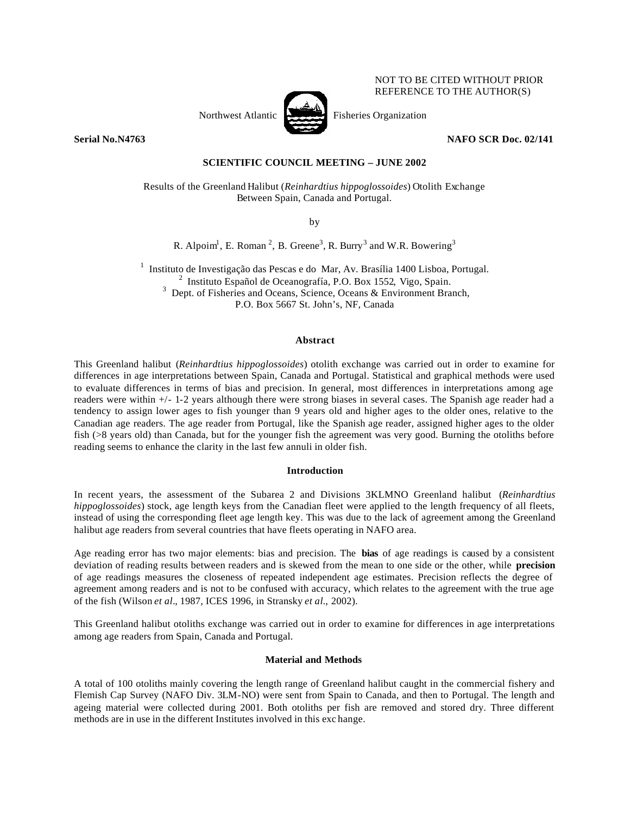

NOT TO BE CITED WITHOUT PRIOR REFERENCE TO THE AUTHOR(S)

**Serial No.N4763 NAFO SCR Doc. 02/141**

# **SCIENTIFIC COUNCIL MEETING – JUNE 2002**

Results of the Greenland Halibut (*Reinhardtius hippoglossoides*) Otolith Exchange Between Spain, Canada and Portugal.

by

R. Alpoim<sup>1</sup>, E. Roman<sup>2</sup>, B. Greene<sup>3</sup>, R. Burry<sup>3</sup> and W.R. Bowering<sup>3</sup>

<sup>1</sup> Instituto de Investigação das Pescas e do Mar, Av. Brasília 1400 Lisboa, Portugal. 2 Instituto Español de Oceanografía, P.O. Box 1552, Vigo, Spain. <sup>3</sup> Dept. of Fisheries and Oceans, Science, Oceans & Environment Branch, P.O. Box 5667 St. John's, NF, Canada

# **Abstract**

This Greenland halibut (*Reinhardtius hippoglossoides*) otolith exchange was carried out in order to examine for differences in age interpretations between Spain, Canada and Portugal. Statistical and graphical methods were used to evaluate differences in terms of bias and precision. In general, most differences in interpretations among age readers were within +/- 1-2 years although there were strong biases in several cases. The Spanish age reader had a tendency to assign lower ages to fish younger than 9 years old and higher ages to the older ones, relative to the Canadian age readers. The age reader from Portugal, like the Spanish age reader, assigned higher ages to the older fish (>8 years old) than Canada, but for the younger fish the agreement was very good. Burning the otoliths before reading seems to enhance the clarity in the last few annuli in older fish.

# **Introduction**

In recent years, the assessment of the Subarea 2 and Divisions 3KLMNO Greenland halibut (*Reinhardtius hippoglossoides*) stock, age length keys from the Canadian fleet were applied to the length frequency of all fleets, instead of using the corresponding fleet age length key. This was due to the lack of agreement among the Greenland halibut age readers from several countries that have fleets operating in NAFO area.

Age reading error has two major elements: bias and precision. The **bias** of age readings is caused by a consistent deviation of reading results between readers and is skewed from the mean to one side or the other, while **precision** of age readings measures the closeness of repeated independent age estimates. Precision reflects the degree of agreement among readers and is not to be confused with accuracy, which relates to the agreement with the true age of the fish (Wilson *et al*., 1987, ICES 1996, in Stransky *et al.*, 2002).

This Greenland halibut otoliths exchange was carried out in order to examine for differences in age interpretations among age readers from Spain, Canada and Portugal.

# **Material and Methods**

A total of 100 otoliths mainly covering the length range of Greenland halibut caught in the commercial fishery and Flemish Cap Survey (NAFO Div. 3LM-NO) were sent from Spain to Canada, and then to Portugal. The length and ageing material were collected during 2001. Both otoliths per fish are removed and stored dry. Three different methods are in use in the different Institutes involved in this exc hange.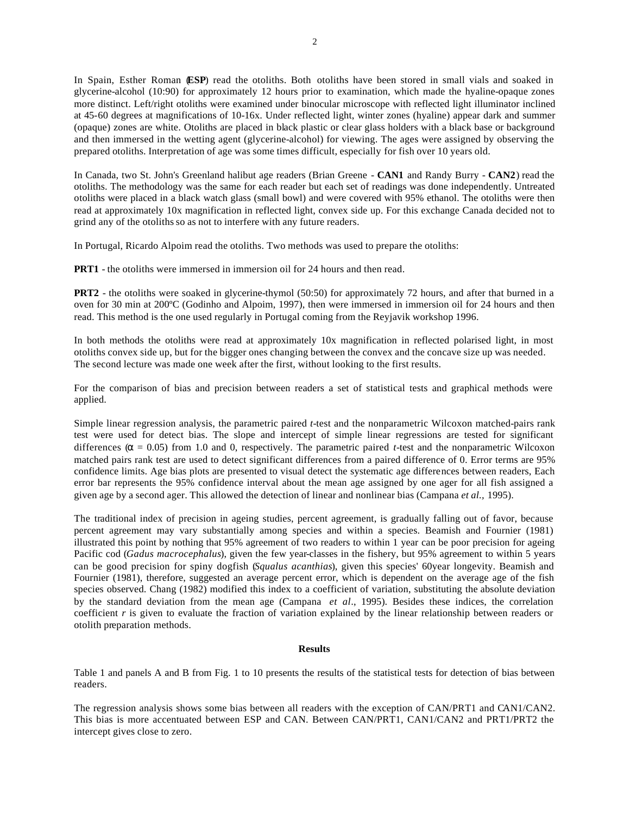In Spain, Esther Roman (**ESP**) read the otoliths. Both otoliths have been stored in small vials and soaked in glycerine-alcohol (10:90) for approximately 12 hours prior to examination, which made the hyaline-opaque zones more distinct. Left/right otoliths were examined under binocular microscope with reflected light illuminator inclined at 45-60 degrees at magnifications of 10-16x. Under reflected light, winter zones (hyaline) appear dark and summer (opaque) zones are white. Otoliths are placed in black plastic or clear glass holders with a black base or background and then immersed in the wetting agent (glycerine-alcohol) for viewing. The ages were assigned by observing the prepared otoliths. Interpretation of age was some times difficult, especially for fish over 10 years old.

In Canada, two St. John's Greenland halibut age readers (Brian Greene - **CAN1** and Randy Burry - **CAN2**) read the otoliths. The methodology was the same for each reader but each set of readings was done independently. Untreated otoliths were placed in a black watch glass (small bowl) and were covered with 95% ethanol. The otoliths were then read at approximately 10x magnification in reflected light, convex side up. For this exchange Canada decided not to grind any of the otoliths so as not to interfere with any future readers.

In Portugal, Ricardo Alpoim read the otoliths. Two methods was used to prepare the otoliths:

**PRT1** - the otoliths were immersed in immersion oil for 24 hours and then read.

**PRT2** - the otoliths were soaked in glycerine-thymol (50:50) for approximately 72 hours, and after that burned in a oven for 30 min at 200ºC (Godinho and Alpoim, 1997), then were immersed in immersion oil for 24 hours and then read. This method is the one used regularly in Portugal coming from the Reyjavik workshop 1996.

In both methods the otoliths were read at approximately 10x magnification in reflected polarised light, in most otoliths convex side up, but for the bigger ones changing between the convex and the concave size up was needed. The second lecture was made one week after the first, without looking to the first results.

For the comparison of bias and precision between readers a set of statistical tests and graphical methods were applied.

Simple linear regression analysis, the parametric paired *t*-test and the nonparametric Wilcoxon matched-pairs rank test were used for detect bias. The slope and intercept of simple linear regressions are tested for significant differences ( $\alpha$  = 0.05) from 1.0 and 0, respectively. The parametric paired *t*-test and the nonparametric Wilcoxon matched pairs rank test are used to detect significant differences from a paired difference of 0. Error terms are 95% confidence limits. Age bias plots are presented to visual detect the systematic age differences between readers, Each error bar represents the 95% confidence interval about the mean age assigned by one ager for all fish assigned a given age by a second ager. This allowed the detection of linear and nonlinear bias (Campana *et al.,* 1995).

The traditional index of precision in ageing studies, percent agreement, is gradually falling out of favor, because percent agreement may vary substantially among species and within a species. Beamish and Fournier (1981) illustrated this point by nothing that 95% agreement of two readers to within 1 year can be poor precision for ageing Pacific cod (*Gadus macrocephalus*), given the few year-classes in the fishery, but 95% agreement to within 5 years can be good precision for spiny dogfish (*Squalus acanthias*), given this species' 60year longevity. Beamish and Fournier (1981), therefore, suggested an average percent error, which is dependent on the average age of the fish species observed. Chang (1982) modified this index to a coefficient of variation, substituting the absolute deviation by the standard deviation from the mean age (Campana *et al*., 1995). Besides these indices, the correlation coefficient *r* is given to evaluate the fraction of variation explained by the linear relationship between readers or otolith preparation methods.

#### **Results**

Table 1 and panels A and B from Fig. 1 to 10 presents the results of the statistical tests for detection of bias between readers.

The regression analysis shows some bias between all readers with the exception of CAN/PRT1 and CAN1/CAN2. This bias is more accentuated between ESP and CAN. Between CAN/PRT1, CAN1/CAN2 and PRT1/PRT2 the intercept gives close to zero.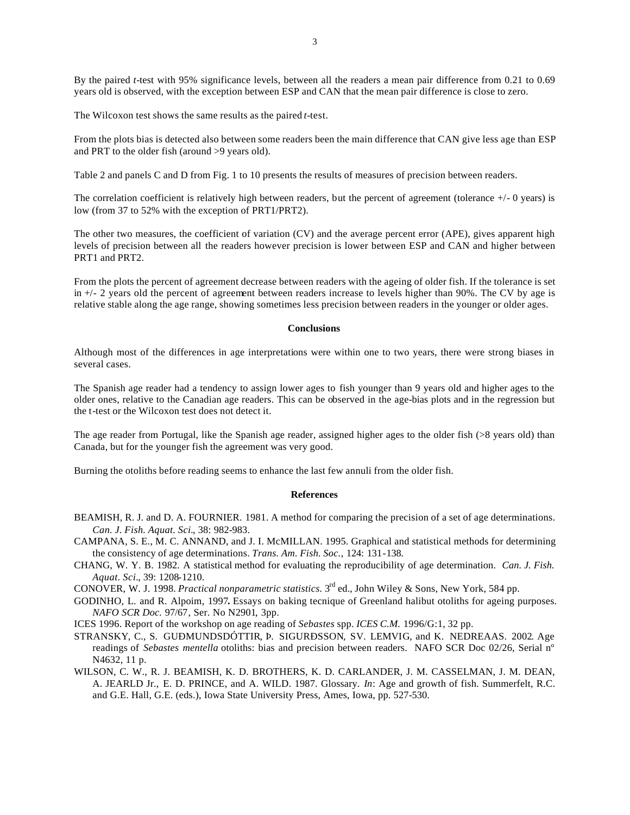By the paired *t*-test with 95% significance levels, between all the readers a mean pair difference from 0.21 to 0.69 years old is observed, with the exception between ESP and CAN that the mean pair difference is close to zero.

The Wilcoxon test shows the same results as the paired *t*-test.

From the plots bias is detected also between some readers been the main difference that CAN give less age than ESP and PRT to the older fish (around >9 years old).

Table 2 and panels C and D from Fig. 1 to 10 presents the results of measures of precision between readers.

The correlation coefficient is relatively high between readers, but the percent of agreement (tolerance  $+/-0$  years) is low (from 37 to 52% with the exception of PRT1/PRT2).

The other two measures, the coefficient of variation (CV) and the average percent error (APE), gives apparent high levels of precision between all the readers however precision is lower between ESP and CAN and higher between PRT1 and PRT2.

From the plots the percent of agreement decrease between readers with the ageing of older fish. If the tolerance is set in +/- 2 years old the percent of agreement between readers increase to levels higher than 90%. The CV by age is relative stable along the age range, showing sometimes less precision between readers in the younger or older ages.

### **Conclusions**

Although most of the differences in age interpretations were within one to two years, there were strong biases in several cases.

The Spanish age reader had a tendency to assign lower ages to fish younger than 9 years old and higher ages to the older ones, relative to the Canadian age readers. This can be observed in the age-bias plots and in the regression but the t-test or the Wilcoxon test does not detect it.

The age reader from Portugal, like the Spanish age reader, assigned higher ages to the older fish (>8 years old) than Canada, but for the younger fish the agreement was very good.

Burning the otoliths before reading seems to enhance the last few annuli from the older fish.

#### **References**

- BEAMISH, R. J. and D. A. FOURNIER. 1981. A method for comparing the precision of a set of age determinations. *Can. J. Fish. Aquat. Sci.*, 38: 982-983.
- CAMPANA, S. E., M. C. ANNAND, and J. I. McMILLAN. 1995. Graphical and statistical methods for determining the consistency of age determinations. *Trans. Am. Fish. Soc.*, 124: 131-138.
- CHANG, W. Y. B. 1982. A statistical method for evaluating the reproducibility of age determination. *Can. J. Fish. Aquat. Sci.*, 39: 1208-1210.
- CONOVER, W. J. 1998. *Practical nonparametric statistics.* 3rd ed., John Wiley & Sons, New York, 584 pp.
- GODINHO, L. and R. Alpoim, 1997**.** Essays on baking tecnique of Greenland halibut otoliths for ageing purposes. *NAFO SCR Doc.* 97/67, Ser. No N2901, 3pp.

ICES 1996. Report of the workshop on age reading of *Sebastes* spp. *ICES C.M.* 1996/G:1, 32 pp.

- STRANSKY, C., S. GUÐMUNDSDÓTTIR, Þ. SIGURÐSSON, SV. LEMVIG, and K. NEDREAAS. 2002. Age readings of *Sebastes mentella* otoliths: bias and precision between readers. NAFO SCR Doc 02/26, Serial nº N4632, 11 p.
- WILSON, C. W., R. J. BEAMISH, K. D. BROTHERS, K. D. CARLANDER, J. M. CASSELMAN, J. M. DEAN, A. JEARLD Jr., E. D. PRINCE, and A. WILD. 1987. Glossary. *In*: Age and growth of fish. Summerfelt, R.C. and G.E. Hall, G.E. (eds.), Iowa State University Press, Ames, Iowa, pp. 527-530.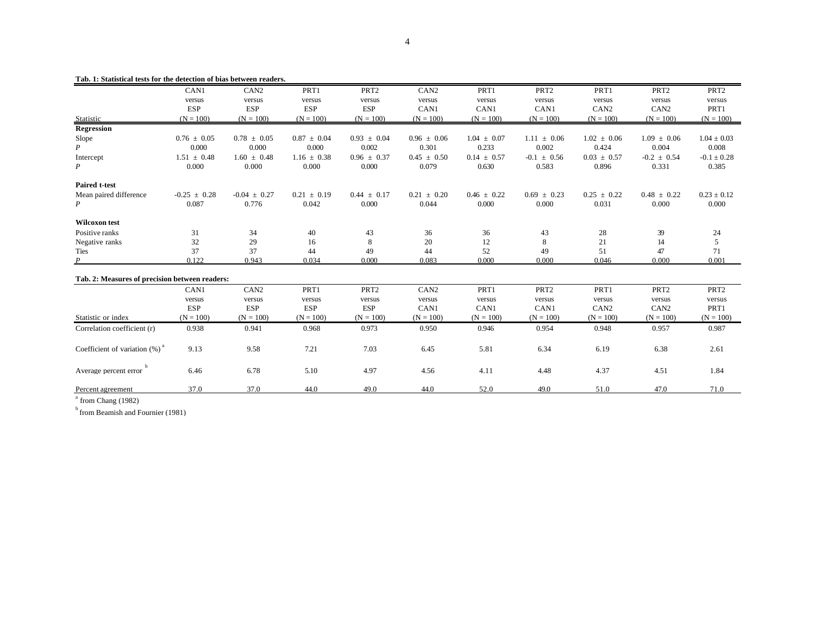|                                                | CAN1             | CAN <sub>2</sub> | PRT1            | PRT <sub>2</sub> | CAN <sub>2</sub> | PRT1            | PRT <sub>2</sub> | PRT1             | PRT <sub>2</sub> | PRT <sub>2</sub> |
|------------------------------------------------|------------------|------------------|-----------------|------------------|------------------|-----------------|------------------|------------------|------------------|------------------|
|                                                | versus           | versus           | versus          | versus           | versus           | versus          | versus           | versus           | versus           | versus           |
|                                                | <b>ESP</b>       | <b>ESP</b>       | <b>ESP</b>      | <b>ESP</b>       | CAN1             | CAN1            | CAN1             | CAN <sub>2</sub> | CAN <sub>2</sub> | PRT1             |
| Statistic                                      | $(N = 100)$      | $(N = 100)$      | $(N = 100)$     | $(N = 100)$      | $(N = 100)$      | $(N = 100)$     | $(N = 100)$      | $(N = 100)$      | $(N = 100)$      | $(N = 100)$      |
| <b>Regression</b>                              |                  |                  |                 |                  |                  |                 |                  |                  |                  |                  |
| Slope                                          | $0.76 \pm 0.05$  | $0.78 \pm 0.05$  | $0.87 \pm 0.04$ | $0.93 \pm 0.04$  | $0.96 \pm 0.06$  | $1.04 \pm 0.07$ | $1.11 \pm 0.06$  | $1.02 \pm 0.06$  | $1.09 \pm 0.06$  | $1.04 \pm 0.03$  |
| P                                              | 0.000            | 0.000            | 0.000           | 0.002            | 0.301            | 0.233           | 0.002            | 0.424            | 0.004            | 0.008            |
| Intercept                                      | $1.51 \pm 0.48$  | $1.60 \pm 0.48$  | $1.16 \pm 0.38$ | $0.96 \pm 0.37$  | $0.45 \pm 0.50$  | $0.14 \pm 0.57$ | $-0.1 \pm 0.56$  | $0.03 \pm 0.57$  | $-0.2 \pm 0.54$  | $-0.1 \pm 0.28$  |
| $\boldsymbol{P}$                               | 0.000            | 0.000            | 0.000           | 0.000            | 0.079            | 0.630           | 0.583            | 0.896            | 0.331            | 0.385            |
| <b>Paired t-test</b>                           |                  |                  |                 |                  |                  |                 |                  |                  |                  |                  |
| Mean paired difference                         | $-0.25 \pm 0.28$ | $-0.04 \pm 0.27$ | $0.21 \pm 0.19$ | $0.44 \pm 0.17$  | $0.21 \pm 0.20$  | $0.46 \pm 0.22$ | $0.69 \pm 0.23$  | $0.25 \pm 0.22$  | $0.48 \pm 0.22$  | $0.23 \pm 0.12$  |
| P                                              | 0.087            | 0.776            | 0.042           | 0.000            | 0.044            | 0.000           | 0.000            | 0.031            | 0.000            | 0.000            |
| <b>Wilcoxon</b> test                           |                  |                  |                 |                  |                  |                 |                  |                  |                  |                  |
| Positive ranks                                 | 31               | 34               | 40              | 43               | 36               | 36              | 43               | 28               | 39               | 24               |
| Negative ranks                                 | 32               | 29               | 16              | 8                | 20               | 12              | 8                | 21               | 14               | 5                |
| Ties                                           | 37               | 37               | 44              | 49               | 44               | 52              | 49               | 51               | 47               | 71               |
| $\boldsymbol{P}$                               | 0.122            | 0.943            | 0.034           | 0.000            | 0.083            | 0.000           | 0.000            | 0.046            | 0.000            | 0.001            |
| Tab. 2: Measures of precision between readers: |                  |                  |                 |                  |                  |                 |                  |                  |                  |                  |
|                                                | CAN1             | CAN <sub>2</sub> | PRT1            | PRT <sub>2</sub> | CAN <sub>2</sub> | PRT1            | PRT <sub>2</sub> | PRT1             | PRT <sub>2</sub> | PRT <sub>2</sub> |
|                                                | versus           | versus           | versus          | versus           | versus           | versus          | versus           | versus           | versus           | versus           |
|                                                | <b>ESP</b>       | <b>ESP</b>       | <b>ESP</b>      | <b>ESP</b>       | CAN1             | CAN1            | CAN1             | CAN <sub>2</sub> | CAN <sub>2</sub> | PRT1             |
| Statistic or index                             | $(N = 100)$      | $(N = 100)$      | $(N = 100)$     | $(N = 100)$      | $(N = 100)$      | $(N = 100)$     | $(N = 100)$      | $(N = 100)$      | $(N = 100)$      | $(N = 100)$      |
| Correlation coefficient (r)                    | 0.938            | 0.941            | 0.968           | 0.973            | 0.950            | 0.946           | 0.954            | 0.948            | 0.957            | 0.987            |
| Coefficient of variation $(\%)$ <sup>*</sup>   | 9.13             | 9.58             | 7.21            | 7.03             | 6.45             | 5.81            | 6.34             | 6.19             | 6.38             | 2.61             |
| Average percent error                          | 6.46             | 6.78             | 5.10            | 4.97             | 4.56             | 4.11            | 4.48             | 4.37             | 4.51             | 1.84             |
| Percent agreement                              | 37.0             | 37.0             | 44.0            | 49.0             | 44.0             | 52.0            | 49.0             | 51.0             | 47.0             | 71.0             |

#### **Tab. 1: Statistical tests for the detection of bias between readers.**

<sup>a</sup> from Chang (1982)

 $<sup>b</sup>$  from Beamish and Fournier (1981)</sup>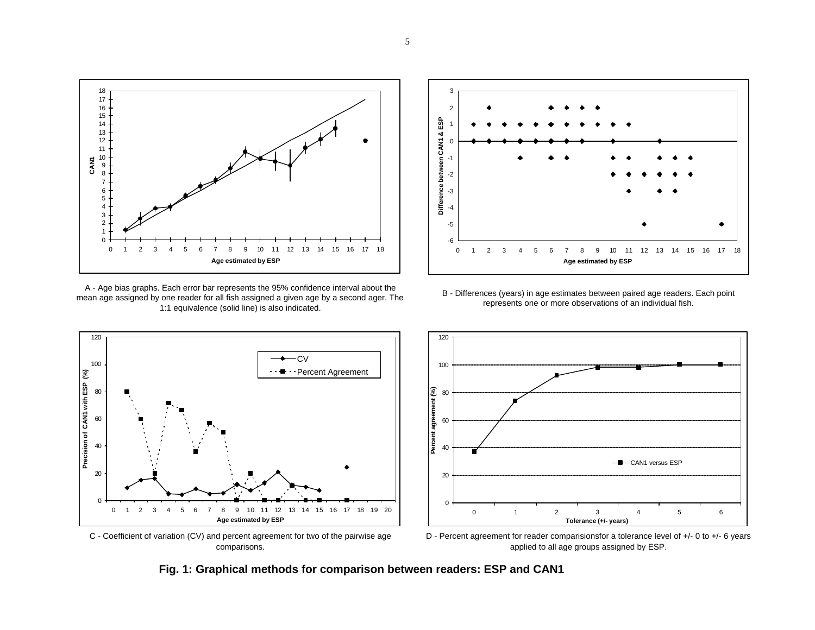

A - Age bias graphs. Each error bar represents the 95% confidence interval about the mean age assigned by one reader for all fish assigned a given age by a second ager. The 1:1 equivalence (solid line) is also indicated.

 $-cv$ 



B - Differences (years) in age estimates between paired age readers. Each point represents one or more observations of an individual fish.



C - Coefficient of variation (CV) and percent agreement for two of the pairwise age comparisons.

**Age estimated by ESP**

 $\Omega$ 

20

40

60

**Precision of CAN1 with ESP (%)**

Precision of CAN1 with ESP (%)

80

100

120

D - Percent agreement for reader comparisionsfor a tolerance level of +/- 0 to +/- 6 years applied to all age groups assigned by ESP.

**Fig. 1: Graphical methods for comparison between readers: ESP and CAN1**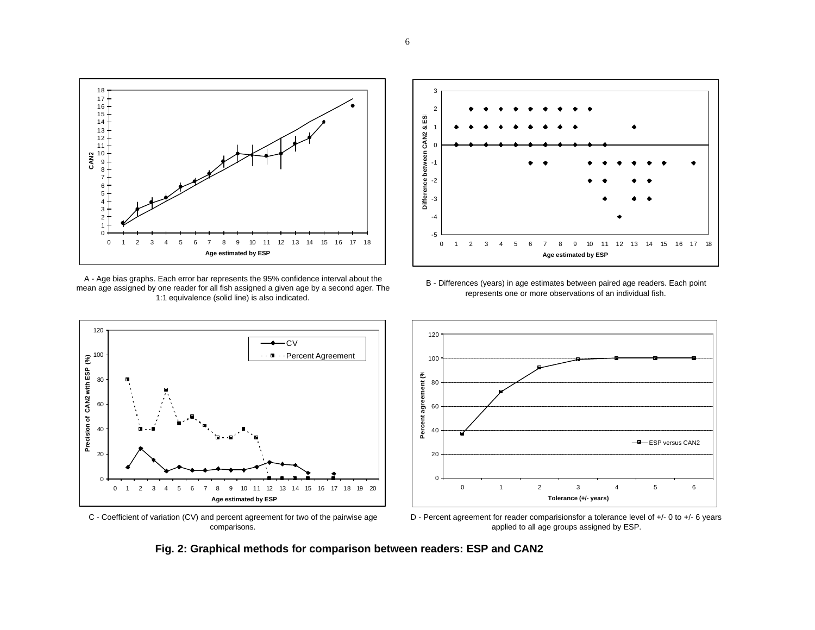

A - Age bias graphs. Each error bar represents the 95% confidence interval about the mean age assigned by one reader for all fish assigned a given age by a second ager. The 1:1 equivalence (solid line) is also indicated.



C - Coefficient of variation (CV) and percent agreement for two of the pairwise age comparisons.





D - Percent agreement for reader comparisionsfor a tolerance level of +/- 0 to +/- 6 years applied to all age groups assigned by ESP.

**Fig. 2: Graphical methods for comparison between readers: ESP and CAN2**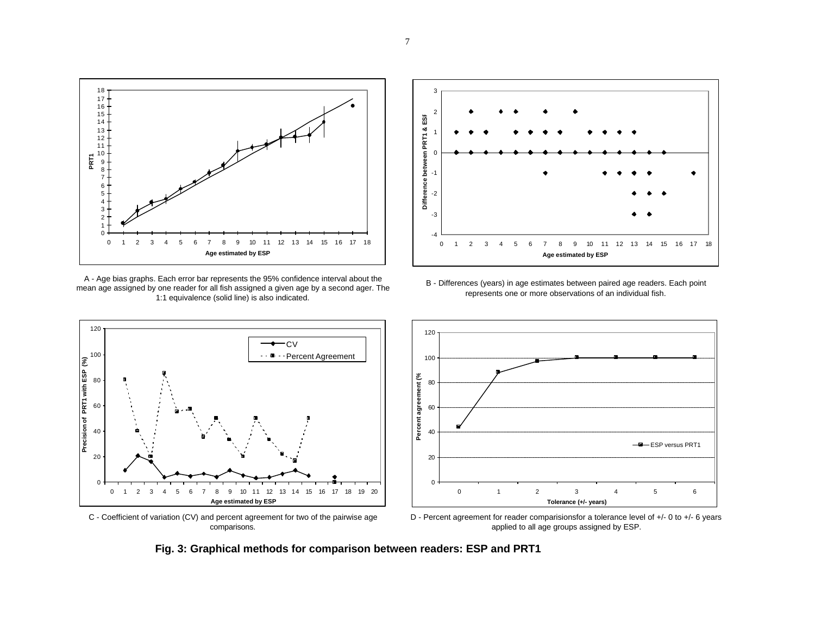

A - Age bias graphs. Each error bar represents the 95% confidence interval about the mean age assigned by one reader for all fish assigned a given age by a second ager. The 1:1 equivalence (solid line) is also indicated.

 $\rightarrow$  CV

**Percent Agreement** 



B - Differences (years) in age estimates between paired age readers. Each point represents one or more observations of an individual fish.





0 1 2 3 4 5 6 7 8 9 10 11 12 13 14 15 16 17 18 19 20 **Age estimated by ESP**

 $\Omega$ 

20

40

60

**Precision of PRT1 with ESP (%)**

80

100

120

D - Percent agreement for reader comparisionsfor a tolerance level of +/- 0 to +/- 6 years applied to all age groups assigned by ESP.

**Fig. 3: Graphical methods for comparison between readers: ESP and PRT1**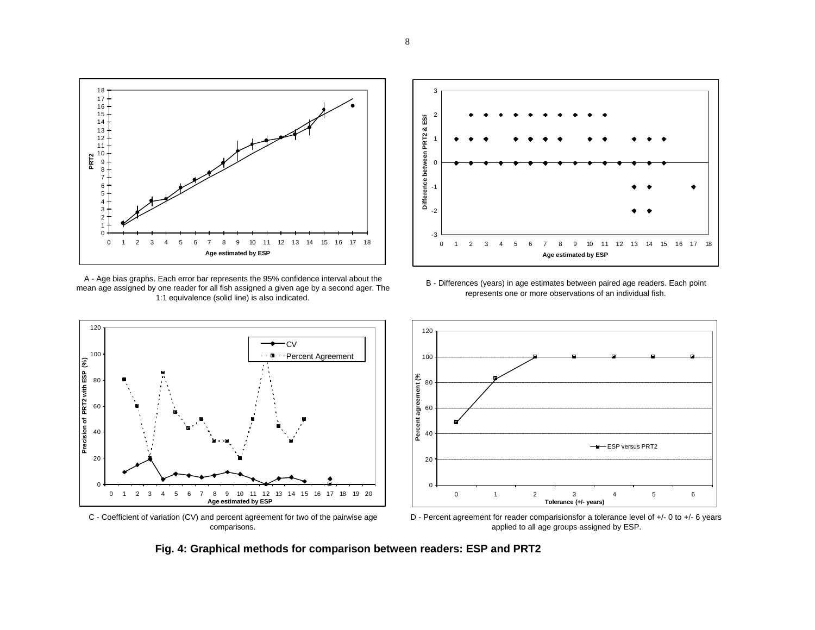

A - Age bias graphs. Each error bar represents the 95% confidence interval about the mean age assigned by one reader for all fish assigned a given age by a second ager. The 1:1 equivalence (solid line) is also indicated.



C - Coefficient of variation (CV) and percent agreement for two of the pairwise age comparisons.





D - Percent agreement for reader comparisionsfor a tolerance level of +/- 0 to +/- 6 years applied to all age groups assigned by ESP.

**Fig. 4: Graphical methods for comparison between readers: ESP and PRT2**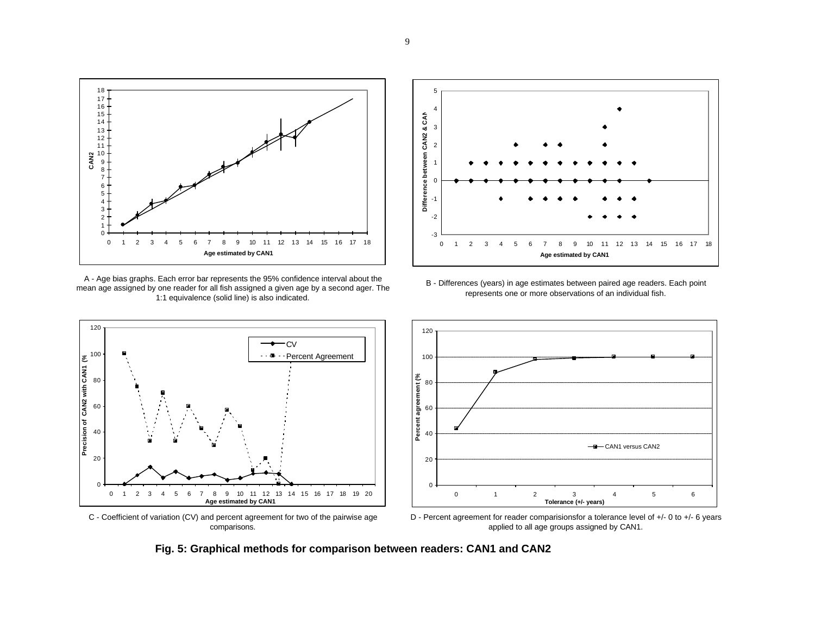

A - Age bias graphs. Each error bar represents the 95% confidence interval about the mean age assigned by one reader for all fish assigned a given age by a second ager. The 1:1 equivalence (solid line) is also indicated.



C - Coefficient of variation (CV) and percent agreement for two of the pairwise age comparisons.





D - Percent agreement for reader comparisionsfor a tolerance level of +/- 0 to +/- 6 years applied to all age groups assigned by CAN1.

**Fig. 5: Graphical methods for comparison between readers: CAN1 and CAN2**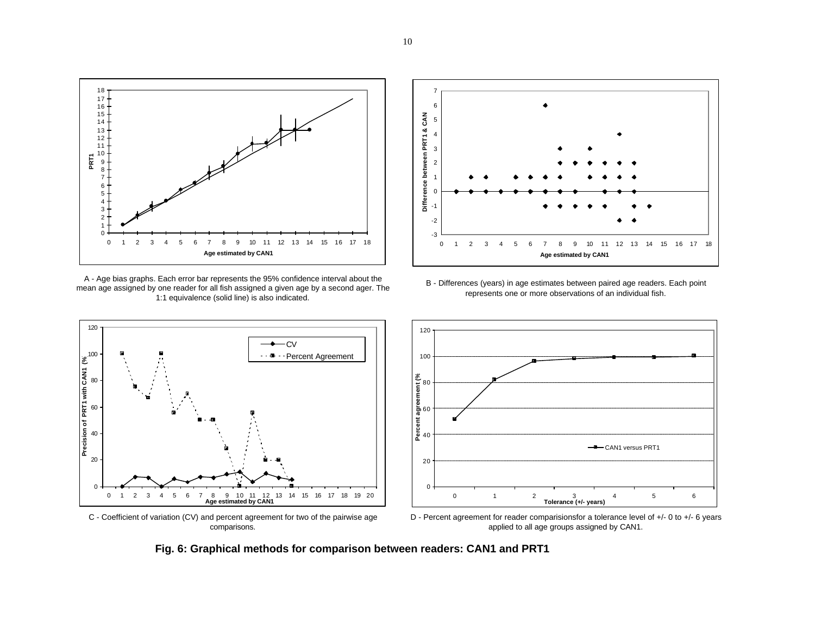

A - Age bias graphs. Each error bar represents the 95% confidence interval about the mean age assigned by one reader for all fish assigned a given age by a second ager. The 1:1 equivalence (solid line) is also indicated.





**Precision of PRT1 with CAN1 (%)**

C - Coefficient of variation (CV) and percent agreement for two of the pairwise age comparisons.



D - Percent agreement for reader comparisionsfor a tolerance level of +/- 0 to +/- 6 years applied to all age groups assigned by CAN1.

**Fig. 6: Graphical methods for comparison between readers: CAN1 and PRT1**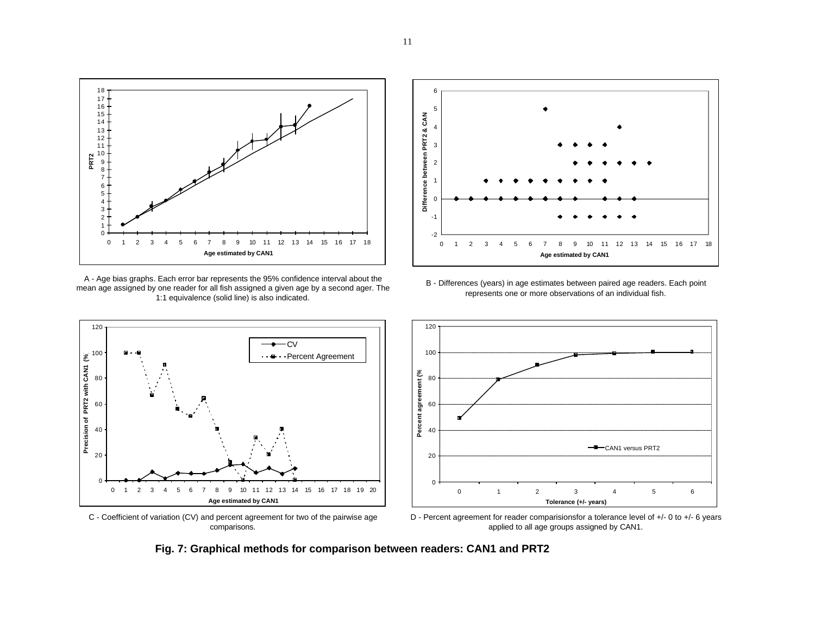

A - Age bias graphs. Each error bar represents the 95% confidence interval about the mean age assigned by one reader for all fish assigned a given age by a second ager. The 1:1 equivalence (solid line) is also indicated.



C - Coefficient of variation (CV) and percent agreement for two of the pairwise age comparisons.





D - Percent agreement for reader comparisionsfor a tolerance level of +/- 0 to +/- 6 years applied to all age groups assigned by CAN1.

**Fig. 7: Graphical methods for comparison between readers: CAN1 and PRT2**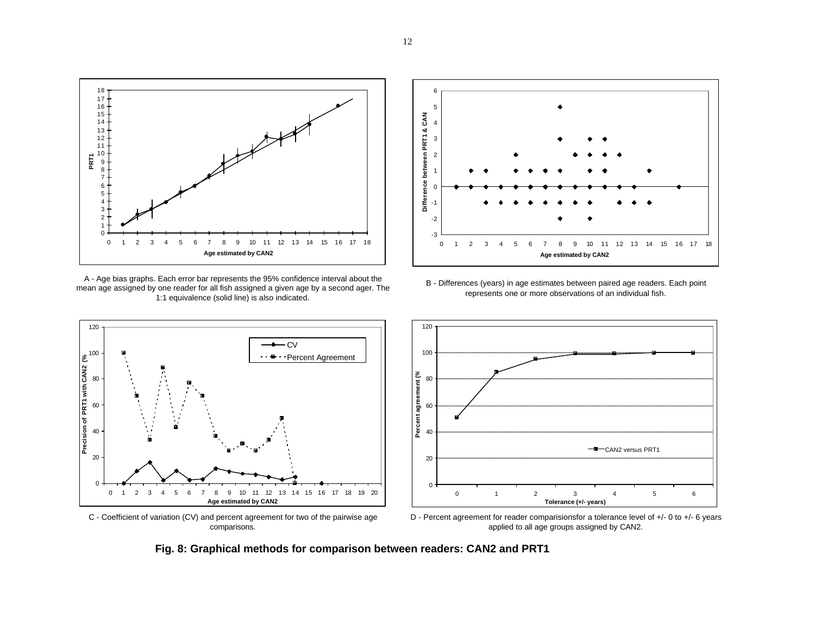

A - Age bias graphs. Each error bar represents the 95% confidence interval about the mean age assigned by one reader for all fish assigned a given age by a second ager. The 1:1 equivalence (solid line) is also indicated.

 $\longrightarrow$  CV

**Percent Agreement** 



B - Differences (years) in age estimates between paired age readers. Each point represents one or more observations of an individual fish.



C - Coefficient of variation (CV) and percent agreement for two of the pairwise age comparisons.

 1 2 3 4 5 6 7 8 9 10 11 12 13 14 15 16 17 18 19 20 **Age estimated by CAN2**

**Precision of PRT1 with CAN2 (%)**

D - Percent agreement for reader comparisionsfor a tolerance level of +/- 0 to +/- 6 years applied to all age groups assigned by CAN2.

**Fig. 8: Graphical methods for comparison between readers: CAN2 and PRT1**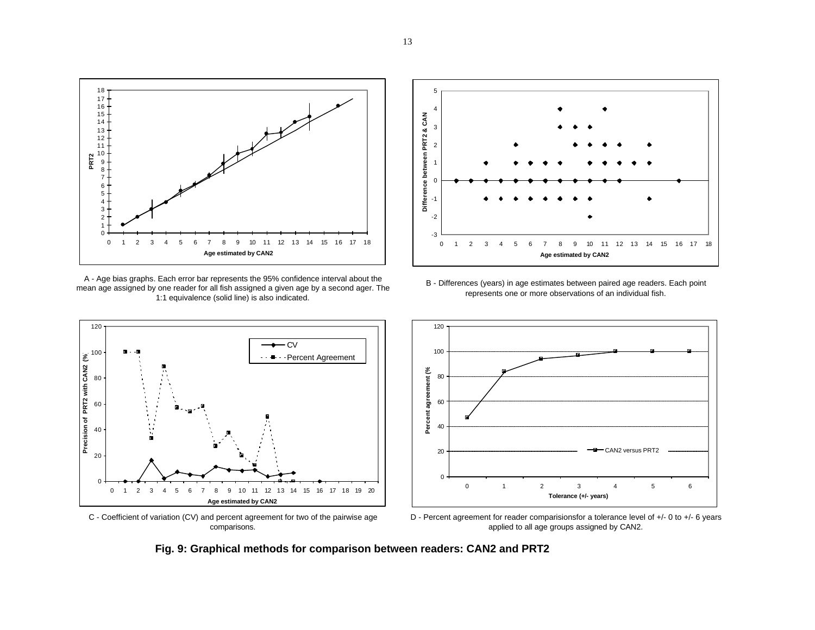

A - Age bias graphs. Each error bar represents the 95% confidence interval about the mean age assigned by one reader for all fish assigned a given age by a second ager. The 1:1 equivalence (solid line) is also indicated.



C - Coefficient of variation (CV) and percent agreement for two of the pairwise age comparisons.





D - Percent agreement for reader comparisionsfor a tolerance level of +/- 0 to +/- 6 years applied to all age groups assigned by CAN2.

**Fig. 9: Graphical methods for comparison between readers: CAN2 and PRT2**